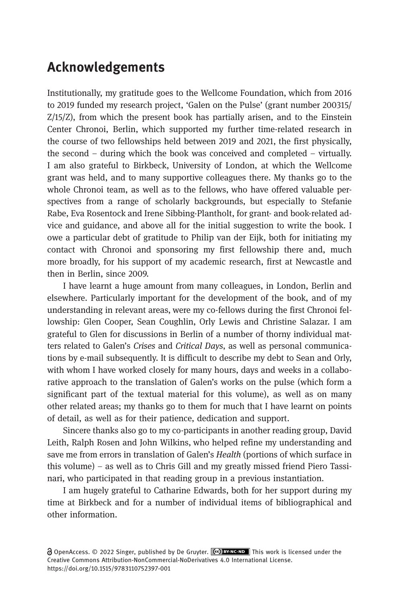## Acknowledgements

Institutionally, my gratitude goes to the Wellcome Foundation, which from 2016 to 2019 funded my research project, 'Galen on the Pulse' (grant number 200315/ Z/15/Z), from which the present book has partially arisen, and to the Einstein Center Chronoi, Berlin, which supported my further time-related research in the course of two fellowships held between 2019 and 2021, the first physically, the second – during which the book was conceived and completed – virtually. I am also grateful to Birkbeck, University of London, at which the Wellcome grant was held, and to many supportive colleagues there. My thanks go to the whole Chronoi team, as well as to the fellows, who have offered valuable perspectives from a range of scholarly backgrounds, but especially to Stefanie Rabe, Eva Rosentock and Irene Sibbing-Plantholt, for grant- and book-related advice and guidance, and above all for the initial suggestion to write the book. I owe a particular debt of gratitude to Philip van der Eijk, both for initiating my contact with Chronoi and sponsoring my first fellowship there and, much more broadly, for his support of my academic research, first at Newcastle and then in Berlin, since 2009.

I have learnt a huge amount from many colleagues, in London, Berlin and elsewhere. Particularly important for the development of the book, and of my understanding in relevant areas, were my co-fellows during the first Chronoi fellowship: Glen Cooper, Sean Coughlin, Orly Lewis and Christine Salazar. I am grateful to Glen for discussions in Berlin of a number of thorny individual matters related to Galen's Crises and Critical Days, as well as personal communications by e-mail subsequently. It is difficult to describe my debt to Sean and Orly, with whom I have worked closely for many hours, days and weeks in a collaborative approach to the translation of Galen's works on the pulse (which form a significant part of the textual material for this volume), as well as on many other related areas; my thanks go to them for much that I have learnt on points of detail, as well as for their patience, dedication and support.

Sincere thanks also go to my co-participants in another reading group, David Leith, Ralph Rosen and John Wilkins, who helped refine my understanding and save me from errors in translation of Galen's Health (portions of which surface in this volume) – as well as to Chris Gill and my greatly missed friend Piero Tassinari, who participated in that reading group in a previous instantiation.

I am hugely grateful to Catharine Edwards, both for her support during my time at Birkbeck and for a number of individual items of bibliographical and other information.